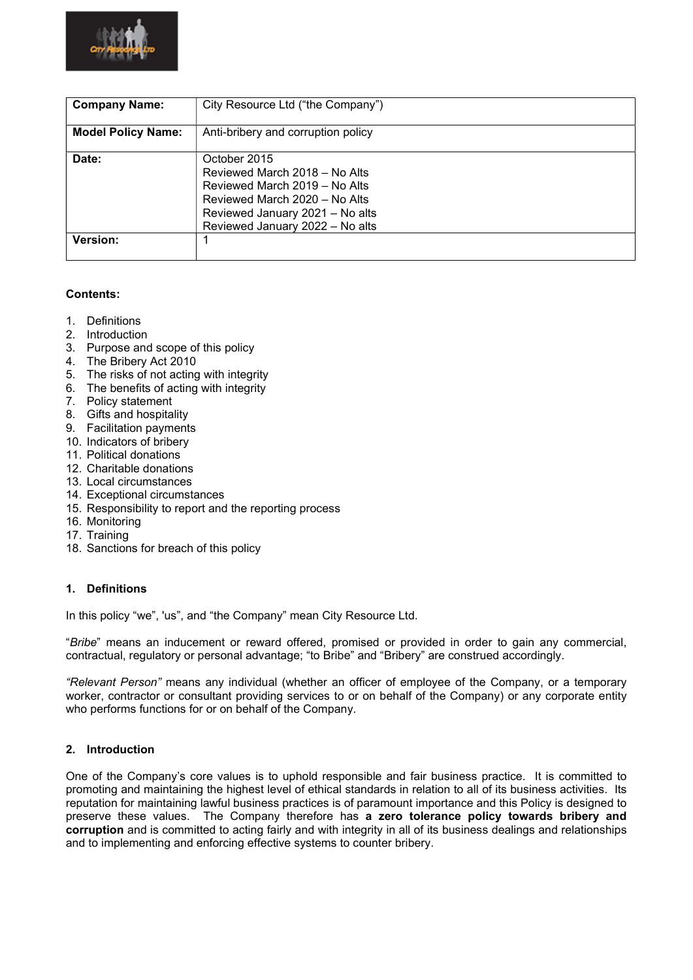

| <b>Company Name:</b>      | City Resource Ltd ("the Company")                                                                                                                                                     |
|---------------------------|---------------------------------------------------------------------------------------------------------------------------------------------------------------------------------------|
| <b>Model Policy Name:</b> | Anti-bribery and corruption policy                                                                                                                                                    |
| Date:                     | October 2015<br>Reviewed March 2018 - No Alts<br>Reviewed March 2019 – No Alts<br>Reviewed March 2020 – No Alts<br>Reviewed January 2021 - No alts<br>Reviewed January 2022 - No alts |
| Version:                  |                                                                                                                                                                                       |

# Contents:

- 1. Definitions
- 2. Introduction
- 3. Purpose and scope of this policy
- 4. The Bribery Act 2010
- 5. The risks of not acting with integrity
- 6. The benefits of acting with integrity
- 7. Policy statement
- 8. Gifts and hospitality
- 9. Facilitation payments
- 10. Indicators of bribery
- 11. Political donations
- 12. Charitable donations
- 13. Local circumstances
- 14. Exceptional circumstances
- 15. Responsibility to report and the reporting process
- 16. Monitoring
- 17. Training
- 18. Sanctions for breach of this policy

### 1. Definitions

In this policy "we", 'us", and "the Company" mean City Resource Ltd.

"Bribe" means an inducement or reward offered, promised or provided in order to gain any commercial, contractual, regulatory or personal advantage; "to Bribe" and "Bribery" are construed accordingly.

"Relevant Person" means any individual (whether an officer of employee of the Company, or a temporary worker, contractor or consultant providing services to or on behalf of the Company) or any corporate entity who performs functions for or on behalf of the Company.

# 2. Introduction

One of the Company's core values is to uphold responsible and fair business practice. It is committed to promoting and maintaining the highest level of ethical standards in relation to all of its business activities. Its reputation for maintaining lawful business practices is of paramount importance and this Policy is designed to preserve these values. The Company therefore has a zero tolerance policy towards bribery and corruption and is committed to acting fairly and with integrity in all of its business dealings and relationships and to implementing and enforcing effective systems to counter bribery.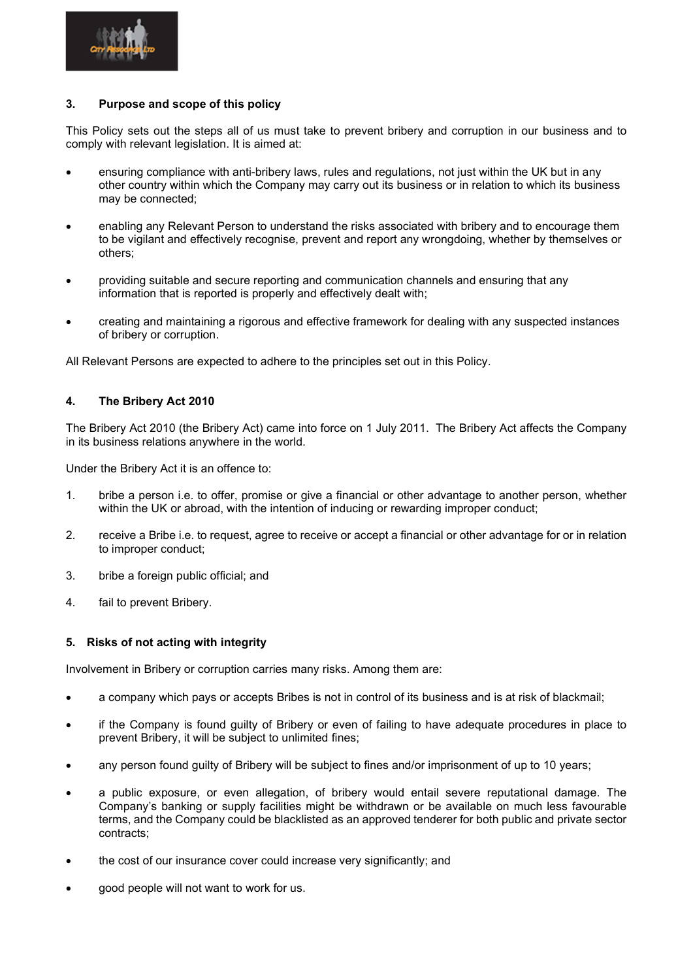

## 3. Purpose and scope of this policy

This Policy sets out the steps all of us must take to prevent bribery and corruption in our business and to comply with relevant legislation. It is aimed at:

- ensuring compliance with anti-bribery laws, rules and regulations, not just within the UK but in any other country within which the Company may carry out its business or in relation to which its business may be connected;
- enabling any Relevant Person to understand the risks associated with bribery and to encourage them to be vigilant and effectively recognise, prevent and report any wrongdoing, whether by themselves or others;
- providing suitable and secure reporting and communication channels and ensuring that any information that is reported is properly and effectively dealt with;
- creating and maintaining a rigorous and effective framework for dealing with any suspected instances of bribery or corruption.

All Relevant Persons are expected to adhere to the principles set out in this Policy.

# 4. The Bribery Act 2010

The Bribery Act 2010 (the Bribery Act) came into force on 1 July 2011. The Bribery Act affects the Company in its business relations anywhere in the world.

Under the Bribery Act it is an offence to:

- 1. bribe a person i.e. to offer, promise or give a financial or other advantage to another person, whether within the UK or abroad, with the intention of inducing or rewarding improper conduct;
- 2. receive a Bribe i.e. to request, agree to receive or accept a financial or other advantage for or in relation to improper conduct;
- 3. bribe a foreign public official; and
- 4. fail to prevent Bribery.

### 5. Risks of not acting with integrity

Involvement in Bribery or corruption carries many risks. Among them are:

- a company which pays or accepts Bribes is not in control of its business and is at risk of blackmail;
- if the Company is found guilty of Bribery or even of failing to have adequate procedures in place to prevent Bribery, it will be subject to unlimited fines;
- any person found guilty of Bribery will be subject to fines and/or imprisonment of up to 10 years;
- a public exposure, or even allegation, of bribery would entail severe reputational damage. The Company's banking or supply facilities might be withdrawn or be available on much less favourable terms, and the Company could be blacklisted as an approved tenderer for both public and private sector contracts;
- the cost of our insurance cover could increase very significantly; and
- good people will not want to work for us.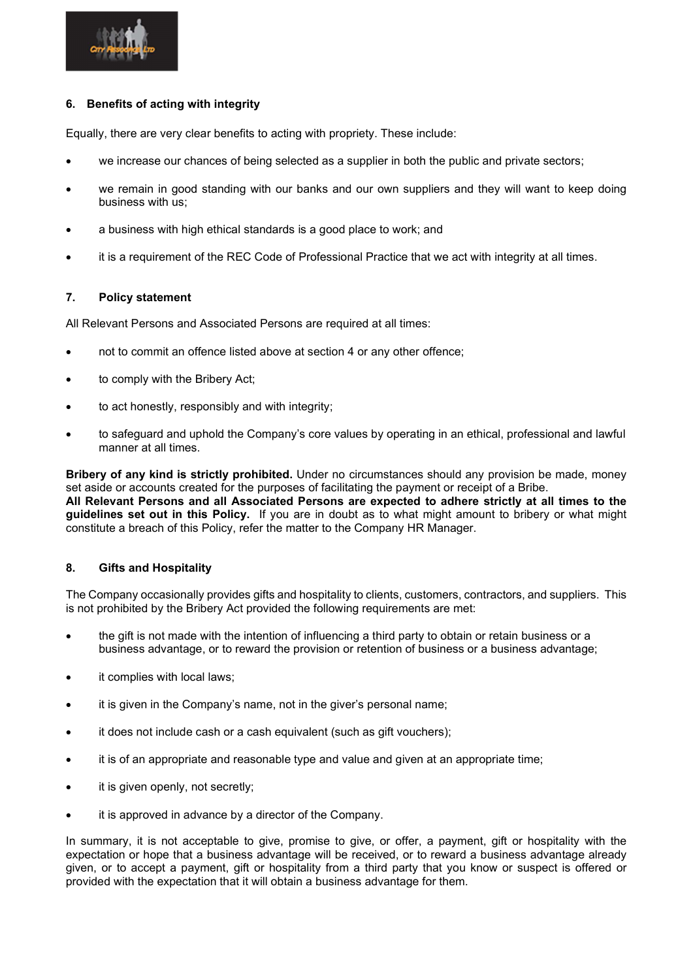

# 6. Benefits of acting with integrity

Equally, there are very clear benefits to acting with propriety. These include:

- we increase our chances of being selected as a supplier in both the public and private sectors;
- we remain in good standing with our banks and our own suppliers and they will want to keep doing business with us;
- a business with high ethical standards is a good place to work; and
- it is a requirement of the REC Code of Professional Practice that we act with integrity at all times.

## 7. Policy statement

All Relevant Persons and Associated Persons are required at all times:

- not to commit an offence listed above at section 4 or any other offence;
- to comply with the Bribery Act;
- to act honestly, responsibly and with integrity;
- to safeguard and uphold the Company's core values by operating in an ethical, professional and lawful manner at all times.

Bribery of any kind is strictly prohibited. Under no circumstances should any provision be made, money set aside or accounts created for the purposes of facilitating the payment or receipt of a Bribe. All Relevant Persons and all Associated Persons are expected to adhere strictly at all times to the guidelines set out in this Policy. If you are in doubt as to what might amount to bribery or what might constitute a breach of this Policy, refer the matter to the Company HR Manager.

# 8. Gifts and Hospitality

The Company occasionally provides gifts and hospitality to clients, customers, contractors, and suppliers. This is not prohibited by the Bribery Act provided the following requirements are met:

- the gift is not made with the intention of influencing a third party to obtain or retain business or a business advantage, or to reward the provision or retention of business or a business advantage;
- it complies with local laws;
- it is given in the Company's name, not in the giver's personal name;
- it does not include cash or a cash equivalent (such as gift vouchers);
- it is of an appropriate and reasonable type and value and given at an appropriate time;
- it is given openly, not secretly;
- it is approved in advance by a director of the Company.

In summary, it is not acceptable to give, promise to give, or offer, a payment, gift or hospitality with the expectation or hope that a business advantage will be received, or to reward a business advantage already given, or to accept a payment, gift or hospitality from a third party that you know or suspect is offered or provided with the expectation that it will obtain a business advantage for them.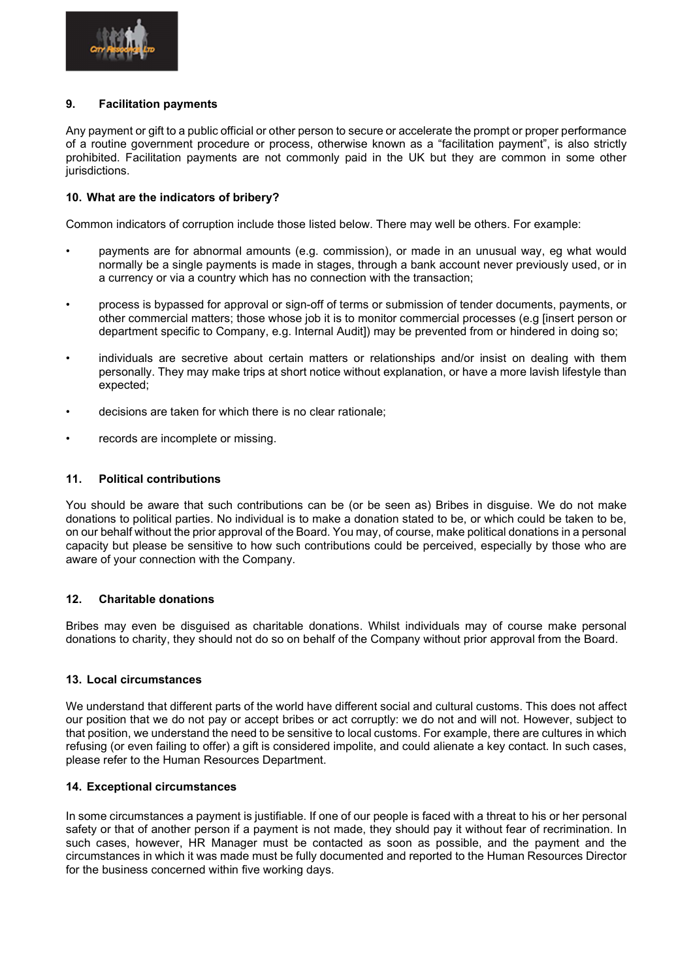

# 9. Facilitation payments

Any payment or gift to a public official or other person to secure or accelerate the prompt or proper performance of a routine government procedure or process, otherwise known as a "facilitation payment", is also strictly prohibited. Facilitation payments are not commonly paid in the UK but they are common in some other jurisdictions.

## 10. What are the indicators of bribery?

Common indicators of corruption include those listed below. There may well be others. For example:

- payments are for abnormal amounts (e.g. commission), or made in an unusual way, eg what would normally be a single payments is made in stages, through a bank account never previously used, or in a currency or via a country which has no connection with the transaction;
- process is bypassed for approval or sign-off of terms or submission of tender documents, payments, or other commercial matters; those whose job it is to monitor commercial processes (e.g [insert person or department specific to Company, e.g. Internal Audit]) may be prevented from or hindered in doing so;
- individuals are secretive about certain matters or relationships and/or insist on dealing with them personally. They may make trips at short notice without explanation, or have a more lavish lifestyle than expected;
- decisions are taken for which there is no clear rationale;
- records are incomplete or missing.

### 11. Political contributions

You should be aware that such contributions can be (or be seen as) Bribes in disguise. We do not make donations to political parties. No individual is to make a donation stated to be, or which could be taken to be, on our behalf without the prior approval of the Board. You may, of course, make political donations in a personal capacity but please be sensitive to how such contributions could be perceived, especially by those who are aware of your connection with the Company.

## 12. Charitable donations

Bribes may even be disguised as charitable donations. Whilst individuals may of course make personal donations to charity, they should not do so on behalf of the Company without prior approval from the Board.

#### 13. Local circumstances

We understand that different parts of the world have different social and cultural customs. This does not affect our position that we do not pay or accept bribes or act corruptly: we do not and will not. However, subject to that position, we understand the need to be sensitive to local customs. For example, there are cultures in which refusing (or even failing to offer) a gift is considered impolite, and could alienate a key contact. In such cases, please refer to the Human Resources Department.

### 14. Exceptional circumstances

In some circumstances a payment is justifiable. If one of our people is faced with a threat to his or her personal safety or that of another person if a payment is not made, they should pay it without fear of recrimination. In such cases, however, HR Manager must be contacted as soon as possible, and the payment and the circumstances in which it was made must be fully documented and reported to the Human Resources Director for the business concerned within five working days.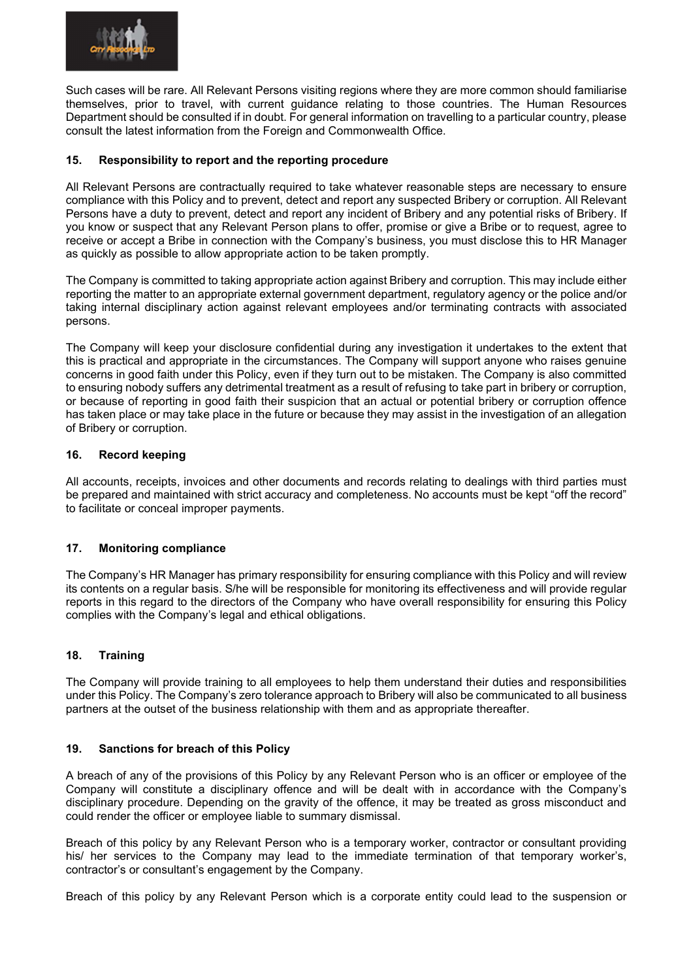

Such cases will be rare. All Relevant Persons visiting regions where they are more common should familiarise themselves, prior to travel, with current guidance relating to those countries. The Human Resources Department should be consulted if in doubt. For general information on travelling to a particular country, please consult the latest information from the Foreign and Commonwealth Office.

# 15. Responsibility to report and the reporting procedure

All Relevant Persons are contractually required to take whatever reasonable steps are necessary to ensure compliance with this Policy and to prevent, detect and report any suspected Bribery or corruption. All Relevant Persons have a duty to prevent, detect and report any incident of Bribery and any potential risks of Bribery. If you know or suspect that any Relevant Person plans to offer, promise or give a Bribe or to request, agree to receive or accept a Bribe in connection with the Company's business, you must disclose this to HR Manager as quickly as possible to allow appropriate action to be taken promptly.

The Company is committed to taking appropriate action against Bribery and corruption. This may include either reporting the matter to an appropriate external government department, regulatory agency or the police and/or taking internal disciplinary action against relevant employees and/or terminating contracts with associated persons.

The Company will keep your disclosure confidential during any investigation it undertakes to the extent that this is practical and appropriate in the circumstances. The Company will support anyone who raises genuine concerns in good faith under this Policy, even if they turn out to be mistaken. The Company is also committed to ensuring nobody suffers any detrimental treatment as a result of refusing to take part in bribery or corruption, or because of reporting in good faith their suspicion that an actual or potential bribery or corruption offence has taken place or may take place in the future or because they may assist in the investigation of an allegation of Bribery or corruption.

# 16. Record keeping

All accounts, receipts, invoices and other documents and records relating to dealings with third parties must be prepared and maintained with strict accuracy and completeness. No accounts must be kept "off the record" to facilitate or conceal improper payments.

# 17. Monitoring compliance

The Company's HR Manager has primary responsibility for ensuring compliance with this Policy and will review its contents on a regular basis. S/he will be responsible for monitoring its effectiveness and will provide regular reports in this regard to the directors of the Company who have overall responsibility for ensuring this Policy complies with the Company's legal and ethical obligations.

# 18. Training

The Company will provide training to all employees to help them understand their duties and responsibilities under this Policy. The Company's zero tolerance approach to Bribery will also be communicated to all business partners at the outset of the business relationship with them and as appropriate thereafter.

# 19. Sanctions for breach of this Policy

A breach of any of the provisions of this Policy by any Relevant Person who is an officer or employee of the Company will constitute a disciplinary offence and will be dealt with in accordance with the Company's disciplinary procedure. Depending on the gravity of the offence, it may be treated as gross misconduct and could render the officer or employee liable to summary dismissal.

Breach of this policy by any Relevant Person who is a temporary worker, contractor or consultant providing his/ her services to the Company may lead to the immediate termination of that temporary worker's, contractor's or consultant's engagement by the Company.

Breach of this policy by any Relevant Person which is a corporate entity could lead to the suspension or